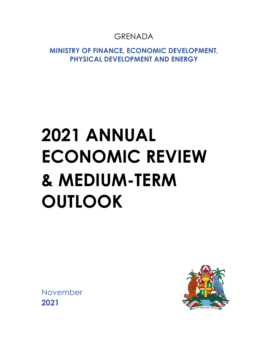# GRENADA

**MINISTRY OF FINANCE, ECONOMIC DEVELOPMENT, PHYSICAL DEVELOPMENT AND ENERGY**

# **2021 ANNUAL ECONOMIC REVIEW & MEDIUM-TERM OUTLOOK**

November **2021**

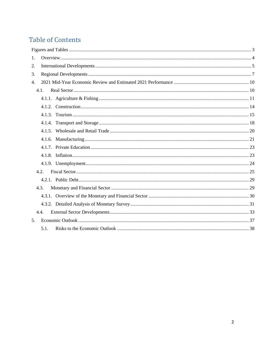# **Table of Contents**

| 1. |      |  |
|----|------|--|
| 2. |      |  |
| 3. |      |  |
| 4. |      |  |
|    | 4.1. |  |
|    |      |  |
|    |      |  |
|    |      |  |
|    |      |  |
|    |      |  |
|    |      |  |
|    |      |  |
|    |      |  |
|    |      |  |
|    | 4.2. |  |
|    |      |  |
|    | 4.3. |  |
|    |      |  |
|    |      |  |
|    | 4.4. |  |
| 5. |      |  |
|    | 5.1. |  |
|    |      |  |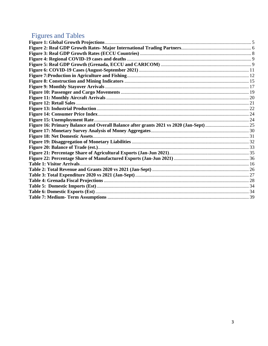# <span id="page-2-0"></span>**Figures and Tables**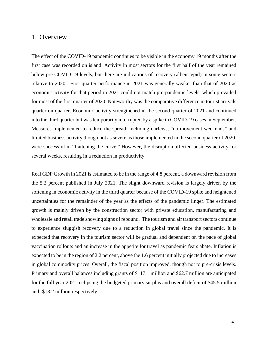# <span id="page-3-0"></span>1. Overview

The effect of the COVID-19 pandemic continues to be visible in the economy 19 months after the first case was recorded on island. Activity in most sectors for the first half of the year remained below pre-COVID-19 levels, but there are indications of recovery (albeit tepid) in some sectors relative to 2020. First quarter performance in 2021 was generally weaker than that of 2020 as economic activity for that period in 2021 could not match pre-pandemic levels, which prevailed for most of the first quarter of 2020. Noteworthy was the comparative difference in tourist arrivals quarter on quarter. Economic activity strengthened in the second quarter of 2021 and continued into the third quarter but was temporarily interrupted by a spike in COVID-19 cases in September. Measures implemented to reduce the spread; including curfews, "no movement weekends" and limited business activity though not as severe as those implemented in the second quarter of 2020, were successful in "flattening the curve." However, the disruption affected business activity for several weeks, resulting in a reduction in productivity.

Real GDP Growth in 2021 is estimated to be in the range of 4.8 percent, a downward revision from the 5.2 percent published in July 2021. The slight downward revision is largely driven by the softening in economic activity in the third quarter because of the COVID-19 spike and heightened uncertainties for the remainder of the year as the effects of the pandemic linger. The estimated growth is mainly driven by the construction sector with private education, manufacturing and wholesale and retail trade showing signs of rebound. The tourism and air transport sectors continue to experience sluggish recovery due to a reduction in global travel since the pandemic. It is expected that recovery in the tourism sector will be gradual and dependent on the pace of global vaccination rollouts and an increase in the appetite for travel as pandemic fears abate. Inflation is expected to be in the region of 2.2 percent, above the 1.6 percent initially projected due to increases in global commodity prices. Overall, the fiscal position improved, though not to pre-crisis levels. Primary and overall balances including grants of \$117.1 million and \$62.7 million are anticipated for the full year 2021, eclipsing the budgeted primary surplus and overall deficit of \$45.5 million and -\$18.2 million respectively.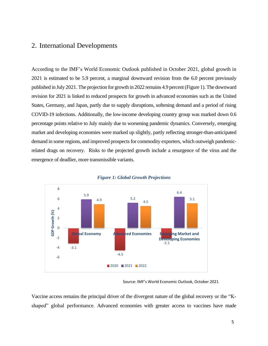# <span id="page-4-0"></span>2. International Developments

According to the IMF's World Economic Outlook published in October 2021, global growth in 2021 is estimated to be 5.9 percent, a marginal downward revision from the 6.0 percent previously published in July 2021. The projection for growth in 2022 remains 4.9 percent(Figure 1). The downward revision for 2021 is linked to reduced prospects for growth in advanced economies such as the United States, Germany, and Japan, partly due to supply disruptions, softening demand and a period of rising COVID-19 infections. Additionally, the low-income developing country group was marked down 0.6 percentage points relative to July mainly due to worsening pandemic dynamics. Conversely, emerging market and developing economies were marked up slightly, partly reflecting stronger-than-anticipated demand in some regions, and improved prospects for commodity exporters, which outweigh pandemicrelated drags on recovery. Risks to the projected growth include a resurgence of the virus and the emergence of deadlier, more transmissible variants.

<span id="page-4-1"></span>



Source: IMF's World Economic Outlook, October 2021

Vaccine access remains the principal driver of the divergent nature of the global recovery or the "Kshaped" global performance. Advanced economies with greater access to vaccines have made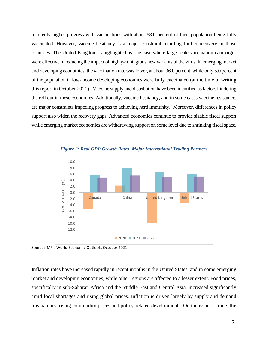markedly higher progress with vaccinations with about 58.0 percent of their population being fully vaccinated. However, vaccine hesitancy is a major constraint retarding further recovery in those countries. The United Kingdom is highlighted as one case where large-scale vaccination campaigns were effective in reducing the impact of highly-contagious new variants of the virus. In emerging market and developing economies, the vaccination rate was lower, at about 36.0 percent, while only 5.0 percent of the population in low-income developing economies were fully vaccinated (at the time of writing this report in October 2021). Vaccine supply and distribution have been identified as factors hindering the roll out in these economies. Additionally, vaccine hesitancy, and in some cases vaccine resistance, are major constraints impeding progress to achieving herd immunity. Moreover, differences in policy support also widen the recovery gaps. Advanced economies continue to provide sizable fiscal support while emerging market economies are withdrawing support on some level due to shrinking fiscal space.

<span id="page-5-0"></span>

*Figure 2: Real GDP Growth Rates- Major International Trading Partners*

Source: IMF's World Economic Outlook, October 2021

Inflation rates have increased rapidly in recent months in the United States, and in some emerging market and developing economies, while other regions are affected to a lesser extent. Food prices, specifically in sub-Saharan Africa and the Middle East and Central Asia, increased significantly amid local shortages and rising global prices. Inflation is driven largely by supply and demand mismatches, rising commodity prices and policy-related developments. On the issue of trade, the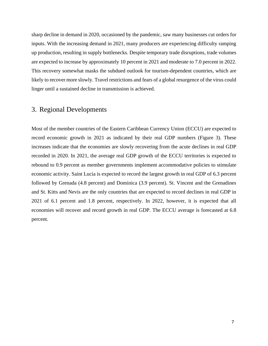sharp decline in demand in 2020, occasioned by the pandemic, saw many businesses cut orders for inputs. With the increasing demand in 2021, many producers are experiencing difficulty ramping up production, resulting in supply bottlenecks. Despite temporary trade disruptions, trade volumes are expected to increase by approximately 10 percent in 2021 and moderate to 7.0 percent in 2022. This recovery somewhat masks the subdued outlook for tourism-dependent countries, which are likely to recover more slowly. Travel restrictions and fears of a global resurgence of the virus could linger until a sustained decline in transmission is achieved.

# <span id="page-6-0"></span>3. Regional Developments

Most of the member countries of the Eastern Caribbean Currency Union (ECCU) are expected to record economic growth in 2021 as indicated by their real GDP numbers (Figure 3). These increases indicate that the economies are slowly recovering from the acute declines in real GDP recorded in 2020. In 2021, the average real GDP growth of the ECCU territories is expected to rebound to 0.9 percent as member governments implement accommodative policies to stimulate economic activity. Saint Lucia is expected to record the largest growth in real GDP of 6.3 percent followed by Grenada (4.8 percent) and Dominica (3.9 percent). St. Vincent and the Grenadines and St. Kitts and Nevis are the only countries that are expected to record declines in real GDP in 2021 of 6.1 percent and 1.8 percent, respectively. In 2022, however, it is expected that all economies will recover and record growth in real GDP. The ECCU average is forecasted at 6.8 percent.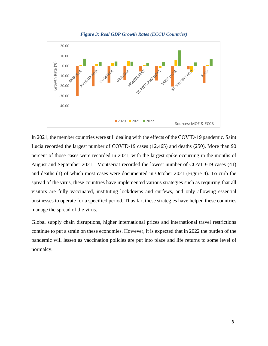<span id="page-7-0"></span>

In 2021, the member countries were still dealing with the effects of the COVID-19 pandemic. Saint Lucia recorded the largest number of COVID-19 cases (12,465) and deaths (250). More than 90 percent of those cases were recorded in 2021, with the largest spike occurring in the months of August and September 2021. Montserrat recorded the lowest number of COVID-19 cases (41) and deaths (1) of which most cases were documented in October 2021 (Figure 4). To curb the spread of the virus, these countries have implemented various strategies such as requiring that all visitors are fully vaccinated, instituting lockdowns and curfews, and only allowing essential businesses to operate for a specified period. Thus far, these strategies have helped these countries manage the spread of the virus.

Global supply chain disruptions, higher international prices and international travel restrictions continue to put a strain on these economies. However, it is expected that in 2022 the burden of the pandemic will lessen as vaccination policies are put into place and life returns to some level of normalcy.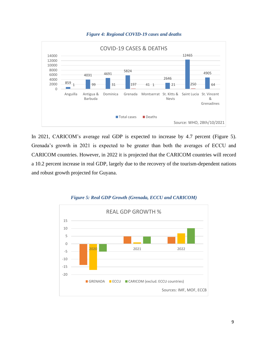<span id="page-8-0"></span>

#### *Figure 4: Regional COVID-19 cases and deaths*

In 2021, CARICOM's average real GDP is expected to increase by 4.7 percent (Figure 5). Grenada's growth in 2021 is expected to be greater than both the averages of ECCU and CARICOM countries. However, in 2022 it is projected that the CARICOM countries will record a 10.2 percent increase in real GDP, largely due to the recovery of the tourism-dependent nations and robust growth projected for Guyana.

<span id="page-8-1"></span>

*Figure 5: Real GDP Growth (Grenada, ECCU and CARICOM)*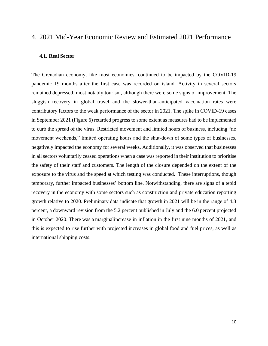# <span id="page-9-0"></span>4. 2021 Mid-Year Economic Review and Estimated 2021 Performance

# <span id="page-9-1"></span>**4.1. Real Sector**

The Grenadian economy, like most economies, continued to be impacted by the COVID-19 pandemic 19 months after the first case was recorded on island. Activity in several sectors remained depressed, most notably tourism, although there were some signs of improvement. The sluggish recovery in global travel and the slower-than-anticipated vaccination rates were contributory factors to the weak performance of the sector in 2021. The spike in COVID-19 cases in September 2021 (Figure 6) retarded progress to some extent as measures had to be implemented to curb the spread of the virus. Restricted movement and limited hours of business, including "no movement weekends," limited operating hours and the shut-down of some types of businesses, negatively impacted the economy for several weeks. Additionally, it was observed that businesses in all sectors voluntarily ceased operations when a case was reported in their institution to prioritise the safety of their staff and customers. The length of the closure depended on the extent of the exposure to the virus and the speed at which testing was conducted. These interruptions, though temporary, further impacted businesses' bottom line. Notwithstanding, there are signs of a tepid recovery in the economy with some sectors such as construction and private education reporting growth relative to 2020. Preliminary data indicate that growth in 2021 will be in the range of 4.8 percent, a downward revision from the 5.2 percent published in July and the 6.0 percent projected in October 2020. There was a marginalincrease in inflation in the first nine months of 2021, and this is expected to rise further with projected increases in global food and fuel prices, as well as international shipping costs.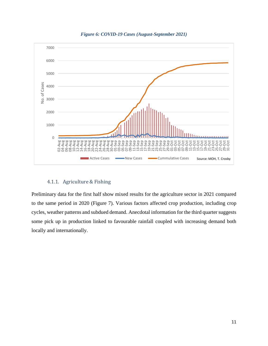<span id="page-10-1"></span>

*Figure 6: COVID-19 Cases (August-September 2021)*

# 4.1.1. Agriculture & Fishing

<span id="page-10-0"></span>Preliminary data for the first half show mixed results for the agriculture sector in 2021 compared to the same period in 2020 (Figure 7). Various factors affected crop production, including crop cycles, weather patterns and subdued demand. Anecdotal information for the third quarter suggests some pick up in production linked to favourable rainfall coupled with increasing demand both locally and internationally.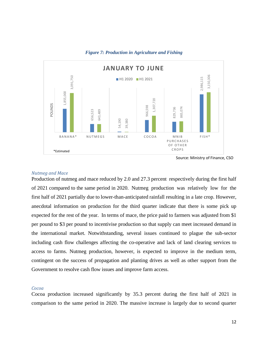<span id="page-11-0"></span>

*Figure 7: Production in Agriculture and Fishing*

# *Nutmeg and Mace*

Production of nutmeg and mace reduced by 2.0 and 27.3 percent respectively during the first half of 2021 compared to the same period in 2020. Nutmeg production was relatively low for the first half of 2021 partially due to lower-than-anticipated rainfall resulting in a late crop. However, anecdotal information on production for the third quarter indicate that there is some pick up expected for the rest of the year. In terms of mace, the price paid to farmers was adjusted from \$1 per pound to \$3 per pound to incentivise production so that supply can meet increased demand in the international market. Notwithstanding, several issues continued to plague the sub-sector including cash flow challenges affecting the co-operative and lack of land clearing services to access to farms. Nutmeg production, however, is expected to improve in the medium term, contingent on the success of propagation and planting drives as well as other support from the Government to resolve cash flow issues and improve farm access. **EXECUTE AND THE SAME PERIOD IN THE SAME PERIOD IN THE SAME PERIOD IN THE SAME PERIOD IN THE SAME PERIOD IN THE SAME PERIOD IN THE SAME PERIOD IN THE SAME PERIOD IN THE SAME PERIOD IN THE SAME PERIOD IN THE SAME PERIOD IN** 

# *Cocoa*

Cocoa production increased significantly by 35.3 percent during the first half of 2021 in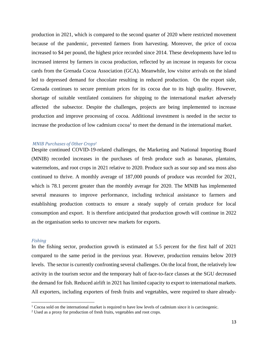production in 2021, which is compared to the second quarter of 2020 where restricted movement because of the pandemic, prevented farmers from harvesting. Moreover, the price of cocoa increased to \$4 per pound, the highest price recorded since 2014. These developments have led to increased interest by farmers in cocoa production, reflected by an increase in requests for cocoa cards from the Grenada Cocoa Association (GCA). Meanwhile, low visitor arrivals on the island led to depressed demand for chocolate resulting in reduced production. On the export side, Grenada continues to secure premium prices for its cocoa due to its high quality. However, shortage of suitable ventilated containers for shipping to the international market adversely affected the subsector. Despite the challenges, projects are being implemented to increase production and improve processing of cocoa. Additional investment is needed in the sector to increase the production of low cadmium  $\rm{coca}^1$  to meet the demand in the international market.

## *MNIB Purchases of Other Crops<sup>2</sup>*

Despite continued COVID-19-related challenges, the Marketing and National Importing Board (MNIB) recorded increases in the purchases of fresh produce such as bananas, plantains, watermelons, and root crops in 2021 relative to 2020. Produce such as sour sop and sea moss also continued to thrive. A monthly average of 187,000 pounds of produce was recorded for 2021, which is 78.1 percent greater than the monthly average for 2020. The MNIB has implemented several measures to improve performance, including technical assistance to farmers and establishing production contracts to ensure a steady supply of certain produce for local consumption and export. It is therefore anticipated that production growth will continue in 2022 as the organisation seeks to uncover new markets for exports.

#### *Fishing*

In the fishing sector, production growth is estimated at 5.5 percent for the first half of 2021 compared to the same period in the previous year. However, production remains below 2019 levels. The sector is currently confronting several challenges. On the local front, the relatively low activity in the tourism sector and the temporary halt of face-to-face classes at the SGU decreased the demand for fish. Reduced airlift in 2021 has limited capacity to export to international markets. All exporters, including exporters of fresh fruits and vegetables, were required to share already-

 $1$  Cocoa sold on the international market is required to have low levels of cadmium since it is carcinogenic.

<sup>2</sup> Used as a proxy for production of fresh fruits, vegetables and root crops.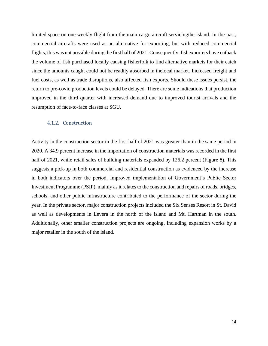limited space on one weekly flight from the main cargo aircraft servicingthe island. In the past, commercial aircrafts were used as an alternative for exporting, but with reduced commercial flights, this was not possible during the first half of 2021. Consequently, fishexporters have cutback the volume of fish purchased locally causing fisherfolk to find alternative markets for their catch since the amounts caught could not be readily absorbed in thelocal market. Increased freight and fuel costs, as well as trade disruptions, also affected fish exports. Should these issues persist, the return to pre-covid production levels could be delayed. There are some indications that production improved in the third quarter with increased demand due to improved tourist arrivals and the resumption of face-to-face classes at SGU.

## <span id="page-13-0"></span>4.1.2. Construction

Activity in the construction sector in the first half of 2021 was greater than in the same period in 2020. A 34.9 percent increase in the importation of construction materials was recorded in the first half of 2021, while retail sales of building materials expanded by 126.2 percent (Figure 8). This suggests a pick-up in both commercial and residential construction as evidenced by the increase in both indicators over the period. Improved implementation of Government's Public Sector Investment Programme (PSIP), mainly as it relates to the construction and repairs of roads, bridges, schools, and other public infrastructure contributed to the performance of the sector during the year. In the private sector, major construction projects included the Six Senses Resort in St. David as well as developments in Levera in the north of the island and Mt. Hartman in the south. Additionally, other smaller construction projects are ongoing, including expansion works by a major retailer in the south of the island.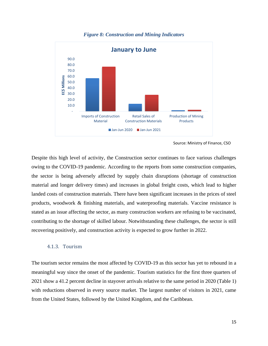<span id="page-14-1"></span>

# *Figure 8: Construction and Mining Indicators*

Source: Ministry of Finance, CSO

Despite this high level of activity, the Construction sector continues to face various challenges owing to the COVID-19 pandemic. According to the reports from some construction companies, the sector is being adversely affected by supply chain disruptions (shortage of construction material and longer delivery times) and increases in global freight costs, which lead to higher landed costs of construction materials. There have been significant increases in the prices of steel products, woodwork & finishing materials, and waterproofing materials. Vaccine resistance is stated as an issue affecting the sector, as many construction workers are refusing to be vaccinated, contributing to the shortage of skilled labour. Notwithstanding these challenges, the sector is still recovering positively, and construction activity is expected to grow further in 2022.

# <span id="page-14-0"></span>4.1.3. Tourism

The tourism sector remains the most affected by COVID-19 as this sector has yet to rebound in a meaningful way since the onset of the pandemic. Tourism statistics for the first three quarters of 2021 show a 41.2 percent decline in stayover arrivals relative to the same period in 2020 (Table 1) with reductions observed in every source market. The largest number of visitors in 2021, came from the United States, followed by the United Kingdom, and the Caribbean.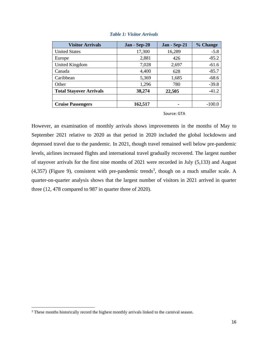<span id="page-15-0"></span>

| <b>Visitor Arrivals</b>        | Jan - Sep-20 | Jan - Sep-21 | % Change |
|--------------------------------|--------------|--------------|----------|
| <b>United States</b>           | 17,300       | 16,289       | $-5.8$   |
| Europe                         | 2,881        | 426          | $-85.2$  |
| United Kingdom                 | 7,028        | 2,697        | $-61.6$  |
| Canada                         | 4,400        | 628          | $-85.7$  |
| Caribbean                      | 5,369        | 1,685        | $-68.6$  |
| Other                          | 1,296        | 780          | $-39.8$  |
| <b>Total Stayover Arrivals</b> | 38,274       | 22,505       | $-41.2$  |
|                                |              |              |          |
| <b>Cruise Passengers</b>       | 162,517      |              | $-100.0$ |

# *Table 1: Visitor Arrivals*

Source: GTA

However, an examination of monthly arrivals shows improvements in the months of May to September 2021 relative to 2020 as that period in 2020 included the global lockdowns and depressed travel due to the pandemic. In 2021, though travel remained well below pre-pandemic levels, airlines increased flights and international travel gradually recovered. The largest number of stayover arrivals for the first nine months of 2021 were recorded in July (5,133) and August  $(4,357)$  (Figure 9), consistent with pre-pandemic trends<sup>3</sup>, though on a much smaller scale. A quarter-on-quarter analysis shows that the largest number of visitors in 2021 arrived in quarter three (12, 478 compared to 987 in quarter three of 2020).

<sup>&</sup>lt;sup>3</sup> These months historically record the highest monthly arrivals linked to the carnival season.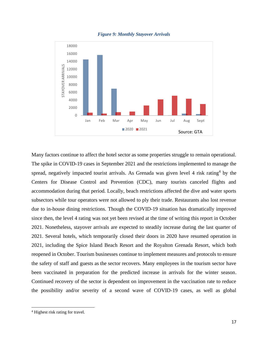

<span id="page-16-0"></span>

Many factors continue to affect the hotel sector as some properties struggle to remain operational. The spike in COVID-19 cases in September 2021 and the restrictions implemented to manage the spread, negatively impacted tourist arrivals. As Grenada was given level 4 risk rating<sup>4</sup> by the Centers for Disease Control and Prevention (CDC), many tourists canceled flights and accommodation during that period. Locally, beach restrictions affected the dive and water sports subsectors while tour operators were not allowed to ply their trade. Restaurants also lost revenue due to in-house dining restrictions. Though the COVID-19 situation has dramatically improved since then, the level 4 rating was not yet been revised at the time of writing this report in October 2021. Nonetheless, stayover arrivals are expected to steadily increase during the last quarter of 2021. Several hotels, which temporarily closed their doors in 2020 have resumed operation in 2021, including the Spice Island Beach Resort and the Royalton Grenada Resort, which both reopened in October. Tourism businesses continue to implement measures and protocols to ensure the safety of staff and guests as the sector recovers. Many employees in the tourism sector have been vaccinated in preparation for the predicted increase in arrivals for the winter season. Continued recovery of the sector is dependent on improvement in the vaccination rate to reduce the possibility and/or severity of a second wave of COVID-19 cases, as well as global

<sup>4</sup> Highest risk rating for travel.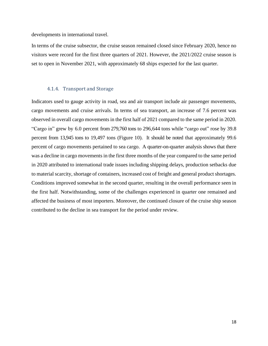developments in international travel.

In terms of the cruise subsector, the cruise season remained closed since February 2020, hence no visitors were record for the first three quarters of 2021. However, the 2021/2022 cruise season is set to open in November 2021, with approximately 68 ships expected for the last quarter.

# 4.1.4. Transport and Storage

<span id="page-17-0"></span>Indicators used to gauge activity in road, sea and air transport include air passenger movements, cargo movements and cruise arrivals. In terms of sea transport, an increase of 7.6 percent was observed in overall cargo movements in the first half of 2021 compared to the same period in 2020. "Cargo in" grew by 6.0 percent from 279,760 tons to 296,644 tons while "cargo out" rose by 39.8 percent from 13,945 tons to 19,497 tons (Figure 10). It should be noted that approximately 99.6 percent of cargo movements pertained to sea cargo. A quarter-on-quarter analysis shows that there was a decline in cargo movements in the first three months of the year compared to the same period in 2020 attributed to international trade issues including shipping delays, production setbacks due to material scarcity, shortage of containers, increased cost of freight and general product shortages. Conditions improved somewhat in the second quarter, resulting in the overall performance seen in the first half. Notwithstanding, some of the challenges experienced in quarter one remained and affected the business of most importers. Moreover, the continued closure of the cruise ship season contributed to the decline in sea transport for the period under review.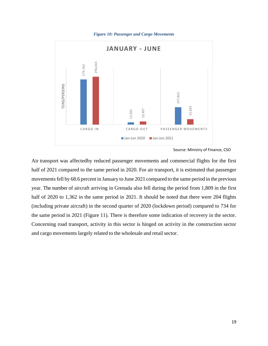<span id="page-18-0"></span>

*Figure 10: Passenger and Cargo Movements*

Air transport was affectedby reduced passenger movements and commercial flights for the first half of 2021 compared to the same period in 2020. For air transport, it is estimated that passenger movements fell by 68.6 percent in January to June 2021 compared to the same period in the previous year. The number of aircraft arriving in Grenada also fell during the period from 1,809 in the first half of 2020 to 1,362 in the same period in 2021. It should be noted that there were 204 flights (including private aircraft) in the second quarter of 2020 (lockdown period) compared to 734 for the same period in 2021 (Figure 11). There is therefore some indication of recovery in the sector. Concerning road transport, activity in this sector is hinged on activity in the construction sector **Example 2021**<br> **Example 2021**<br> **Example 2021**<br> **Example 2021**<br> **Example 2021**<br> **Example 2021**<br> **Example 2021**<br> **Example 2021**<br> **Example 2021**<br> **Example 2021**<br> **Example 2021**<br> **Example 2021**<br> **Example 2021**<br> **Example 2021** 

Source: Ministry of Finance, CSO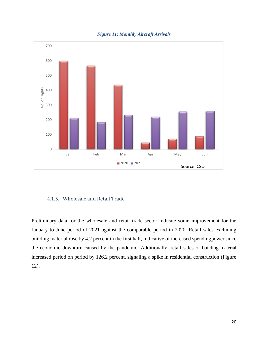<span id="page-19-1"></span>

*Figure 11: Monthly Aircraft Arrivals*

# <span id="page-19-0"></span>4.1.5. Wholesale and Retail Trade

Preliminary data for the wholesale and retail trade sector indicate some improvement for the January to June period of 2021 against the comparable period in 2020. Retail sales excluding building material rose by 4.2 percent in the first half, indicative of increased spendingpower since the economic downturn caused by the pandemic. Additionally, retail sales of building material increased period on period by 126.2 percent, signaling a spike in residential construction (Figure 12).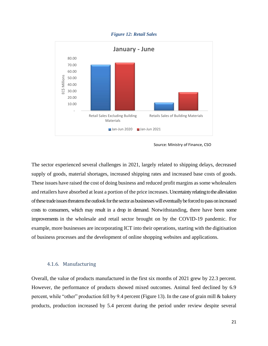#### *Figure 12: Retail Sales*

<span id="page-20-1"></span>

Source: Ministry of Finance, CSO

The sector experienced several challenges in 2021, largely related to shipping delays, decreased supply of goods, material shortages, increased shipping rates and increased base costs of goods. These issues have raised the cost of doing business and reduced profit margins as some wholesalers and retailers have absorbed at least a portion of the price increases. Uncertainty relating to the alleviation of these trade issues threatens the outlook for the sector as businesses will eventually be forcedto pass on increased costs to consumers, which may result in a drop in demand. Notwithstanding, there have been some improvements in the wholesale and retail sector brought on by the COVID-19 pandemic. For example, more businesses are incorporating ICT into their operations, starting with the digitisation of business processes and the development of online shopping websites and applications.

# 4.1.6. Manufacturing

<span id="page-20-0"></span>Overall, the value of products manufactured in the first six months of 2021 grew by 22.3 percent. However, the performance of products showed mixed outcomes. Animal feed declined by 6.9 percent, while "other" production fell by 9.4 percent (Figure 13). In the case of grain mill & bakery products, production increased by 5.4 percent during the period under review despite several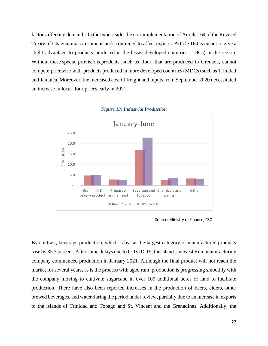factors affecting demand. On the export side, the non-implementation of Article 164 of the Revised Treaty of Chaguaramas in some islands continued to affect exports. Article 164 is meant to give a slight advantage to products produced in the lesser developed countries (LDCs) in the region. Without these special provisions,products, such as flour, that are produced in Grenada, cannot compete pricewise with products produced in more developed countries (MDCs) such as Trinidad and Jamaica. Moreover, the increased cost of freight and inputs from September 2020 necessitated an increase in local flour prices early in 2021.

<span id="page-21-0"></span>

#### *Figure 13: Industrial Production*

Source: Ministry of Finance, CSO

By contrast, beverage production, which is by far the largest category of manufactured products rose by 35.7 percent. After some delays due to COVID-19, the island's newest Rum manufacturing company commenced production in January 2021. Although the final product will not reach the market for several years, as is the process with aged rum, production is progressing smoothly with the company moving to cultivate sugarcane in over 100 additional acres of land to facilitate production. There have also been reported increases in the production of beers, ciders, other brewed beverages, and water during the period under review, partially due to an increase in exports to the islands of Trinidad and Tobago and St. Vincent and the Grenadines. Additionally, the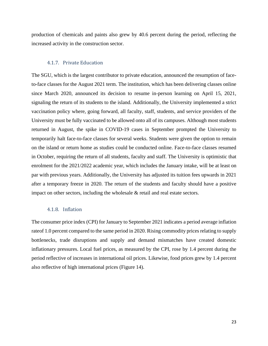production of chemicals and paints also grew by 40.6 percent during the period, reflecting the increased activity in the construction sector.

# 4.1.7. Private Education

<span id="page-22-0"></span>The SGU, which is the largest contributor to private education, announced the resumption of faceto-face classes for the August 2021 term. The institution, which has been delivering classes online since March 2020, announced its decision to resume in-person learning on April 15, 2021, signaling the return of its students to the island. Additionally, the University implemented a strict vaccination policy where, going forward, all faculty, staff, students, and service providers of the University must be fully vaccinated to be allowed onto all of its campuses. Although most students returned in August, the spike in COVID-19 cases in September prompted the University to temporarily halt face-to-face classes for several weeks. Students were given the option to remain on the island or return home as studies could be conducted online. Face-to-face classes resumed in October, requiring the return of all students, faculty and staff. The University is optimistic that enrolment for the 2021/2022 academic year, which includes the January intake, will be at least on par with previous years. Additionally, the University has adjusted its tuition fees upwards in 2021 after a temporary freeze in 2020. The return of the students and faculty should have a positive impact on other sectors, including the wholesale & retail and real estate sectors.

# 4.1.8. Inflation

<span id="page-22-1"></span>The consumer price index (CPI) for January to September 2021 indicates a period average inflation rateof 1.0 percent compared to the same period in 2020. Rising commodity prices relating to supply bottlenecks, trade disruptions and supply and demand mismatches have created domestic inflationary pressures. Local fuel prices, as measured by the CPI, rose by 1.4 percent during the period reflective of increases in international oil prices. Likewise, food prices grew by 1.4 percent also reflective of high international prices (Figure 14).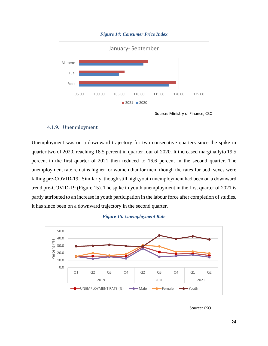<span id="page-23-1"></span>

# *Figure 14: Consumer Price Index*

Source: Ministry of Finance, CSO

# 4.1.9. Unemployment

<span id="page-23-0"></span>Unemployment was on a downward trajectory for two consecutive quarters since the spike in quarter two of 2020, reaching 18.5 percent in quarter four of 2020. It increased marginallyto 19.5 percent in the first quarter of 2021 then reduced to 16.6 percent in the second quarter. The unemployment rate remains higher for women thanfor men, though the rates for both sexes were falling pre-COVID-19. Similarly, though still high,youth unemployment had been on a downward trend pre-COVID-19 (Figure 15). The spike in youth unemployment in the first quarter of 2021 is partly attributed to an increase in youth participation in the labour force after completion of studies. It has since been on a downward trajectory in the second quarter.





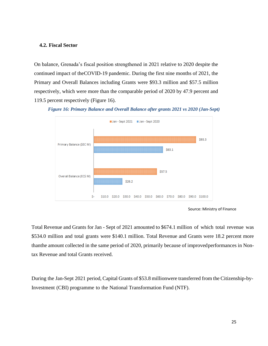# <span id="page-24-0"></span>**4.2. Fiscal Sector**

On balance, Grenada's fiscal position strengthened in 2021 relative to 2020 despite the continued impact of theCOVID-19 pandemic. During the first nine months of 2021, the Primary and Overall Balances including Grants were \$93.3 million and \$57.5 million respectively, which were more than the comparable period of 2020 by 47.9 percent and 119.5 percent respectively (Figure 16).

<span id="page-24-1"></span>



Source: Ministry of Finance

Total Revenue and Grants for Jan - Sept of 2021 amounted to \$674.1 million of which total revenue was \$534.0 million and total grants were \$140.1 million. Total Revenue and Grants were 18.2 percent more thanthe amount collected in the same period of 2020, primarily because of improved performances in Nontax Revenue and total Grants received.

During the Jan-Sept 2021 period, Capital Grants of \$53.8 millionwere transferred from the Citizenship-by-Investment (CBI) programme to the National Transformation Fund (NTF).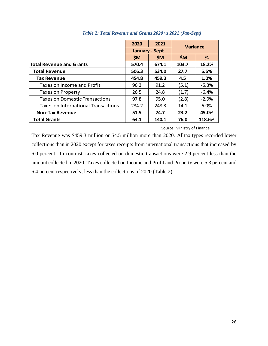<span id="page-25-0"></span>

|                                       | 2020                  | 2021  | <b>Variance</b> |         |  |
|---------------------------------------|-----------------------|-------|-----------------|---------|--|
|                                       | <b>January - Sept</b> |       |                 |         |  |
|                                       | <b>SM</b>             | \$M\$ | <b>SM</b>       | %       |  |
| <b>Total Revenue and Grants</b>       | 570.4                 | 674.1 | 103.7           | 18.2%   |  |
| <b>Total Revenue</b>                  | 506.3                 | 534.0 | 27.7            | 5.5%    |  |
| <b>Tax Revenue</b>                    | 454.8                 | 459.3 | 4.5             | 1.0%    |  |
| Taxes on Income and Profit            | 96.3                  | 91.2  | (5.1)           | $-5.3%$ |  |
| <b>Taxes on Property</b>              | 26.5                  | 24.8  | (1.7)           | $-6.4%$ |  |
| <b>Taxes on Domestic Transactions</b> | 97.8                  | 95.0  | (2.8)           | $-2.9%$ |  |
| Taxes on International Transactions   | 234.2                 | 248.3 | 14.1            | 6.0%    |  |
| <b>Non-Tax Revenue</b>                | 51.5                  | 74.7  | 23.2            | 45.0%   |  |
| <b>Total Grants</b>                   | 64.1                  | 140.1 | 76.0            | 118.6%  |  |

# *Table 2: Total Revenue and Grants 2020 vs 2021 (Jan-Sept)*

# Source: Ministry of Finance

Tax Revenue was \$459.3 million or \$4.5 million more than 2020. Alltax types recorded lower collections than in 2020 except for taxes receipts from international transactions that increased by 6.0 percent. In contrast, taxes collected on domestic transactions were 2.9 percent less than the amount collected in 2020. Taxes collected on Income and Profit and Property were 5.3 percent and 6.4 percent respectively, less than the collections of 2020 (Table 2).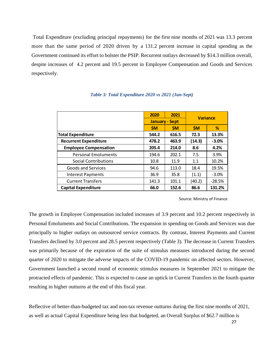Total Expenditure (excluding principal repayments) for the first nine months of 2021 was 13.3 percent more than the same period of 2020 driven by a 131.2 percent increase in capital spending as the Government continued its effort to bolster the PSIP. Recurrent outlays decreased by \$14.3 million overall, despite increases of 4.2 percent and 19.5 percent in Employee Compensation and Goods and Services respectively.

|                              | 2021<br>2020          |           | <b>Variance</b> |          |
|------------------------------|-----------------------|-----------|-----------------|----------|
|                              | <b>January - Sept</b> |           |                 |          |
|                              | <b>SM</b>             | <b>SM</b> | <b>SM</b>       | %        |
| <b>Total Expenditure</b>     | 544.2                 | 616.5     | 72.3            | 13.3%    |
| <b>Recurrent Expenditure</b> | 478.2                 | 463.9     | (14.3)          | $-3.0%$  |
| <b>Employee Compensation</b> | 205.4                 | 214.0     | 8.6             | 4.2%     |
| <b>Personal Emoluments</b>   | 194.6                 | 202.1     | 7.5             | 3.9%     |
| Social Contributions         | 10.8                  | 11.9      | 1.1             | 10.2%    |
| Goods and Services           | 94.6                  | 113.0     | 18.4            | 19.5%    |
| <b>Interest Payments</b>     | 36.9                  | 35.8      | (1.1)           | $-3.0%$  |
| <b>Current Transfers</b>     | 141.3                 | 101.1     | (40.2)          | $-28.5%$ |
| <b>Capital Expenditure</b>   | 66.0                  | 152.6     | 86.6            | 131.2%   |

# *Table 3: Total Expenditure 2020 vs 2021 (Jan-Sept)*

Source: Ministry of Finance

<span id="page-26-0"></span>The growth in Employee Compensation included increases of 3.9 percent and 10.2 percent respectively in Personal Emoluments and Social Contributions. The expansion in spending on Goods and Services was due principally to higher outlays on outsourced service contracts. By contrast, Interest Payments and Current Transfers declined by 3.0 percent and 28.5 percent respectively (Table 3). The decrease in Current Transfers was primarily because of the expiration of the suite of stimulus measures introduced during the second quarter of 2020 to mitigate the adverse impacts of the COVID-19 pandemic on affected sectors. However, Government launched a second round of economic stimulus measures in September 2021 to mitigate the protracted effects of pandemic. This is expected to cause an uptick in Current Transfers in the fourth quarter resulting in higher outturns at the end of this fiscal year. **Expenditure**<br> **Experiment Expenditure**<br> **Experiment Expenditure**<br> **Experiment Expenditure**<br> **Experiment Expenditure**<br> **Experiments**<br> **Experiment and Surveign less that actual 8.6 and 214.5 and 8.6 and 214.8 and 214.8 and** 

Reflective of better-than-budgeted tax and non-tax revenue outturns during the first nine months of 2021,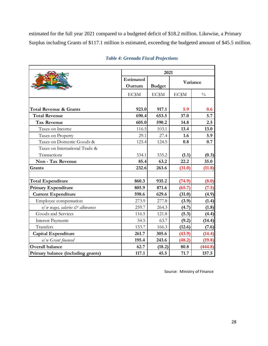estimated for the full year 2021 compared to a budgeted deficit of \$18.2 million. Likewise, a Primary Surplus including Grants of \$117.1 million is estimated, exceeding the budgeted amount of \$45.5 million.

|                                              |                  | 2021          |          |               |  |  |  |
|----------------------------------------------|------------------|---------------|----------|---------------|--|--|--|
|                                              | <b>Estimated</b> |               | Variance |               |  |  |  |
|                                              | Outturn          | <b>Budget</b> |          |               |  |  |  |
|                                              | EC\$M            | EC\$M         | EC\$M    | $\frac{0}{0}$ |  |  |  |
|                                              |                  |               |          |               |  |  |  |
| <b>Total Revenue &amp; Grants</b>            | 923.0            | 917.1         | 5.9      | 0.6           |  |  |  |
| <b>Total Revenue</b>                         | 690.4            | 653.5         | 37.0     | 5.7           |  |  |  |
| <b>Tax Revenue</b>                           | 605.0            | 590.2         | 14.8     | 2.5           |  |  |  |
| Taxes on Income                              | 116.5            | 103.1         | 13.4     | 13.0          |  |  |  |
| Taxes on Property                            | 29.1             | 27.4          | 1.6      | 5.9           |  |  |  |
| Taxes on Domestic Goods &                    | 125.4            | 124.5         | 0.8      | 0.7           |  |  |  |
| Taxes on International Trade &               |                  |               |          |               |  |  |  |
| Transactions                                 | 334.1            | 335.2         | (1.1)    | (0.3)         |  |  |  |
| Non - Tax Revenue                            | 85.4             | 63.2          | 22.2     | 35.0          |  |  |  |
| Grants                                       | 232.6            | 263.6         | (31.0)   | (11.8)        |  |  |  |
|                                              | 860.3            | 935.2         |          |               |  |  |  |
| <b>Total Expenditure</b>                     |                  |               | (74.9)   | (8.0)         |  |  |  |
| <b>Primary Expenditure</b>                   | 805.9            | 871.6         | (65.7)   | (7.5)         |  |  |  |
| <b>Current Expenditure</b>                   | 598.6            | 629.6         | (31.0)   | (4.9)         |  |  |  |
| Employee compensation                        | 273.9            | 277.8         | (3.9)    | (1.4)         |  |  |  |
| $o/w$ wages, salaries $\breve{c}$ allowances | 259.7            | 264.3         | (4.7)    | (1.8)         |  |  |  |
| Goods and Services                           | 116.5            | 121.8         | (5.3)    | (4.4)         |  |  |  |
| <b>Interest Payments</b>                     | 54.5             | 63.7          | (9.2)    | (14.4)        |  |  |  |
| Transfers                                    | 153.7            | 166.3         | (12.6)   | (7.6)         |  |  |  |
| <b>Capital Expenditure</b>                   | 261.7            | 305.6         | (43.9)   | (14.4)        |  |  |  |
| o/w Grant financed                           | 195.4            | 243.6         | (48.2)   | (19.8)        |  |  |  |
| <b>Overall balance</b>                       | 62.7             | (18.2)        | 80.8     | (444.8)       |  |  |  |
| Primary balance (including grants)           | 117.1            | 45.5          | 71.7     | 157.5         |  |  |  |

<span id="page-27-0"></span>r

# *Table 4: Grenada Fiscal Projections*

Source: Ministry of Finance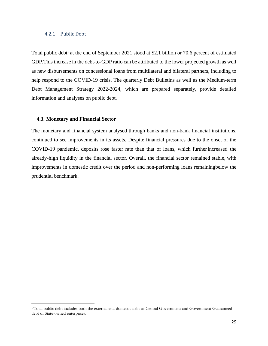# <span id="page-28-0"></span>4.2.1. Public Debt

Total public debt<sup>1</sup> at the end of September 2021 stood at \$2.1 billion or 70.6 percent of estimated GDP.This increase in the debt-to-GDP ratio can be attributed to the lower projected growth as well as new disbursements on concessional loans from multilateral and bilateral partners, including to help respond to the COVID-19 crisis. The quarterly Debt Bulletins as well as the Medium-term Debt Management Strategy 2022-2024, which are prepared separately, provide detailed information and analyses on public debt.

## <span id="page-28-1"></span>**4.3. Monetary and Financial Sector**

The monetary and financial system analysed through banks and non-bank financial institutions, continued to see improvements in its assets. Despite financial pressures due to the onset of the COVID-19 pandemic, deposits rose faster rate than that of loans, which furtherincreased the already-high liquidity in the financial sector. Overall, the financial sector remained stable, with improvements in domestic credit over the period and non-performing loans remainingbelow the prudential benchmark.

<sup>&</sup>lt;sup>1</sup> Total public debt includes both the external and domestic debt of Central Government and Government Guaranteed debt of State-owned enterprises.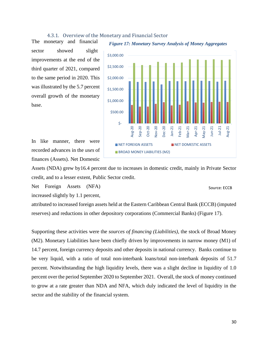# 4.3.1. Overview of the Monetary and Financial Sector

<span id="page-29-0"></span>The monetary and financial sector showed slight improvements at the end of the third quarter of 2021, compared to the same period in 2020. This was illustrated by the 5.7 percent overall growth of the monetary base.







Assets (NDA) grew by16.4 percent due to increases in domestic credit, mainly in Private Sector credit, and to a lesser extent, Public Sector credit.

Net Foreign Assets (NFA)

Source: ECCB

increased slightly by 1.1 percent,

attributed to increased foreign assets held at the Eastern Caribbean Central Bank (ECCB) (imputed reserves) and reductions in other depository corporations (Commercial Banks) (Figure 17).

Supporting these activities were the *sources of financing (Liabilities)*, the stock of Broad Money (M2). Monetary Liabilities have been chiefly driven by improvements in narrow money (M1) of 14.7 percent, foreign currency deposits and other deposits in national currency. Banks continue to be very liquid, with a ratio of total non-interbank loans/total non-interbank deposits of 51.7 percent. Notwithstanding the high liquidity levels, there was a slight decline in liquidity of 1.0 percent over the period September 2020 to September 2021. Overall, the stock of money continued to grow at a rate greater than NDA and NFA, which duly indicated the level of liquidity in the sector and the stability of the financial system.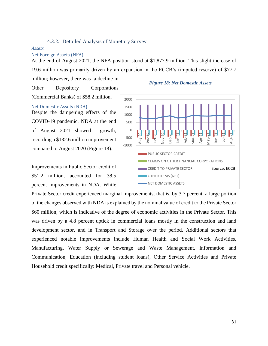# 4.3.2. Detailed Analysis of Monetary Survey

#### <span id="page-30-0"></span>*Assets*

## Net Foreign Assets (NFA)

At the end of August 2021, the NFA position stood at \$1,877.9 million. This slight increase of 19.6 million was primarily driven by an expansion in the ECCB's (imputed reserve) of \$77.7

million; however, there was a decline in Other Depository Corporations (Commercial Banks) of \$58.2 million.

#### *Figure 18: Net Domestic Assets*

#### -1000 -500  $\Omega$ 500 1000 1500 2000 Aug-20 Sep-20 Oct-20 Nov-20 Dec-20 Jan-21 Feb- $21$  $Mar-21$ Apr-21 May- $21$ Jun-21 Jul-21 Aug-2 $1$ PUBLIC SECTOR CREDIT CLAIMS ON OTHER FINANCIAL CORPORATIONS **CREDIT TO PRIVATE SECTOR OTHER ITEMS (NET) NET DOMESTIC ASSETS** Source: ECCB

Net Domestic Assets (NDA)

Despite the dampening effects of the COVID-19 pandemic, NDA at the end of August 2021 showed growth, recording a \$132.6 million improvement compared to August 2020 (Figure 18).

Improvements in Public Sector credit of \$51.2 million, accounted for 38.5 percent improvements in NDA. While

Private Sector credit experienced marginal improvements, that is, by 3.7 percent, a large portion of the changes observed with NDA is explained by the nominal value of credit to the Private Sector \$60 million, which is indicative of the degree of economic activities in the Private Sector. This was driven by a 4.8 percent uptick in commercial loans mostly in the construction and land development sector, and in Transport and Storage over the period. Additional sectors that experienced notable improvements include Human Health and Social Work Activities, Manufacturing, Water Supply or Sewerage and Waste Management, Information and Communication, Education (including student loans), Other Service Activities and Private Household credit specifically: Medical, Private travel and Personal vehicle.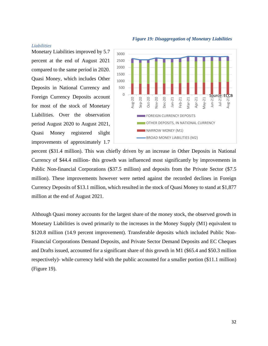# *Figure 19: Disaggregation of Monetary Liabilities*

# *Liabilities*

Monetary Liabilities improved by 5.7 percent at the end of August 2021 compared to the same period in 2020. Quasi Money, which includes Other Deposits in National Currency and Foreign Currency Deposits account for most of the stock of Monetary Liabilities. Over the observation period August 2020 to August 2021, Quasi Money registered slight improvements of approximately 1.7



percent (\$31.4 million). This was chiefly driven by an increase in Other Deposits in National Currency of \$44.4 million- this growth was influenced most significantly by improvements in Public Non-financial Corporations (\$37.5 million) and deposits from the Private Sector (\$7.5 million). These improvements however were netted against the recorded declines in Foreign Currency Deposits of \$13.1 million, which resulted in the stock of Quasi Money to stand at \$1,877 million at the end of August 2021.

Although Quasi money accounts for the largest share of the money stock, the observed growth in Monetary Liabilities is owed primarily to the increases in the Money Supply (M1) equivalent to \$120.8 million (14.9 percent improvement). Transferable deposits which included Public Non-Financial Corporations Demand Deposits, and Private Sector Demand Deposits and EC Cheques and Drafts issued, accounted for a significant share of this growth in M1 (\$65.4 and \$50.3 million respectively)- while currency held with the public accounted for a smaller portion (\$11.1 million) (Figure 19).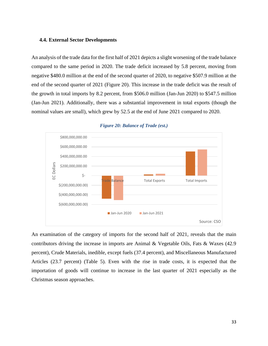# <span id="page-32-0"></span>**4.4. External Sector Developments**

An analysis of the trade data for the first half of 2021 depicts a slight worsening of the trade balance compared to the same period in 2020. The trade deficit increased by 5.8 percent, moving from negative \$480.0 million at the end of the second quarter of 2020, to negative \$507.9 million at the end of the second quarter of 2021 (Figure 20). This increase in the trade deficit was the result of the growth in total imports by 8.2 percent, from \$506.0 million (Jan-Jun 2020) to \$547.5 million (Jan-Jun 2021). Additionally, there was a substantial improvement in total exports (though the nominal values are small), which grew by 52.5 at the end of June 2021 compared to 2020.

<span id="page-32-1"></span>

#### *Figure 20: Balance of Trade (est.)*

An examination of the category of imports for the second half of 2021, reveals that the main contributors driving the increase in imports are Animal & Vegetable Oils, Fats & Waxes (42.9 percent), Crude Materials, inedible, except fuels (37.4 percent), and Miscellaneous Manufactured Articles (23.7 percent) (Table 5). Even with the rise in trade costs, it is expected that the importation of goods will continue to increase in the last quarter of 2021 especially as the Christmas season approaches.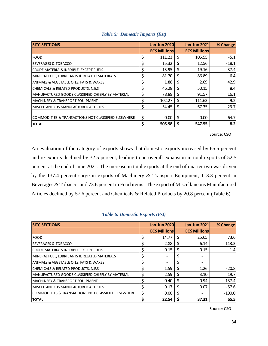<span id="page-33-0"></span>

| <b>SITC SECTIONS</b>                                | <b>Jan-Jun 2020</b> |   | <b>Jan-Jun 2021</b> | % Change |
|-----------------------------------------------------|---------------------|---|---------------------|----------|
|                                                     | <b>ECS Millions</b> |   | <b>ECS Millions</b> |          |
| <b>FOOD</b>                                         | \$<br>111.23        | Ś | 105.55              | $-5.1$   |
| <b>BEVERAGES &amp; TOBACCO</b>                      | \$<br>15.32         | S | 12.56               | $-18.1$  |
| CRUDE MATERIALS, INEDIBLE, EXCEPT FUELS             | \$<br>13.95         | Ś | 19.16               | 37.4     |
| MINERAL FUEL, LUBRICANTS & RELATED MATERIALS        | \$<br>81.70         | Ś | 86.89               | 6.4      |
| ANIMALS & VEGETABLE OILS, FATS & WAXES              | \$<br>1.88          | S | 2.69                | 42.9     |
| CHEMICALS & RELATED PRODUCTS, N.E.S                 | \$<br>46.28         | S | 50.15               | 8.4      |
| MANUFACTURED GOODS CLASSIFIED CHIEFLY BY MATERIAL   | \$<br>78.89         | Ś | 91.57               | 16.1     |
| MACHINERY & TRANSPORT EQUIPMENT                     | \$<br>102.27        | Ś | 111.63              | 9.2      |
| MISCELLANEOUS MANUFACTURED ARTICLES                 | \$<br>54.45         | S | 67.35               | 23.7     |
|                                                     |                     |   |                     |          |
| COMMODITIES & TRANSACTIONS NOT CLASSIFIED ELSEWHERE | \$<br>0.00          | S | 0.00                | $-64.7$  |
| <b>TOTAL</b>                                        | \$<br>505.98        | S | 547.55              | 8.2      |

|  |  |  | Table 5: Domestic Imports (Est) |  |  |
|--|--|--|---------------------------------|--|--|
|--|--|--|---------------------------------|--|--|

## Source: CSO

An evaluation of the category of exports shows that domestic exports increased by 65.5 percent and re-exports declined by 32.5 percent, leading to an overall expansion in total exports of 52.5 percent at the end of June 2021. The increase in total exports at the end of quarter two was driven by the 137.4 percent surge in exports of Machinery & Transport Equipment, 113.3 percent in Beverages & Tobacco, and 73.6 percent in Food items. The export of Miscellaneous Manufactured Articles declined by 57.6 percent and Chemicals & Related Products by 20.8 percent (Table 6).

<span id="page-33-1"></span>

| <b>SITC SECTIONS</b>                                |    | <b>Jan-Jun 2020</b> |   | <b>Jan-Jun 2021</b>  | % Change |
|-----------------------------------------------------|----|---------------------|---|----------------------|----------|
|                                                     |    | <b>ECS Millions</b> |   | <b>EC\$ Millions</b> |          |
| <b>FOOD</b>                                         | \$ | 14.77               | S | 25.65                | 73.6     |
| <b>BEVERAGES &amp; TOBACCO</b>                      | \$ | 2.88                | S | 6.14                 | 113.3    |
| CRUDE MATERIALS, INEDIBLE, EXCEPT FUELS             | \$ | 0.15                | S | 0.15                 | 1.4      |
| MINERAL FUEL, LUBRICANTS & RELATED MATERIALS        | \$ |                     |   |                      |          |
| ANIMALS & VEGETABLE OILS, FATS & WAXES              | \$ |                     |   |                      |          |
| CHEMICALS & RELATED PRODUCTS, N.E.S                 | \$ | 1.59                | S | 1.26                 | $-20.8$  |
| MANUFACTURED GOODS CLASSIFIED CHIEFLY BY MATERIAL   | \$ | 2.59                | Ś | 3.10                 | 19.7     |
| <b>MACHINERY &amp; TRANSPORT EQUIPMENT</b>          | \$ | 0.40                | S | 0.94                 | 137.4    |
| MISCELLANEOUS MANUFACTURED ARTICLES                 | \$ | 0.17                | Ś | 0.07                 | $-57.6$  |
| COMMODITIES & TRANSACTIONS NOT CLASSIFIED ELSEWHERE | \$ | 0.00                | Ś |                      | $-100.0$ |
| <b>TOTAL</b>                                        | Ś  | 22.54               |   | 37.31                | 65.5     |

# *Table 6: Domestic Exports (Est)*

Source: CSO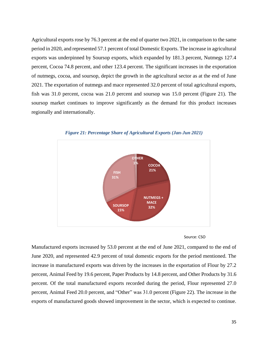Agricultural exports rose by 76.3 percent at the end of quarter two 2021, in comparison to the same period in 2020, and represented 57.1 percent of total Domestic Exports. The increase in agricultural exports was underpinned by Soursop exports, which expanded by 181.3 percent, Nutmegs 127.4 percent, Cocoa 74.8 percent, and other 123.4 percent. The significant increases in the exportation of nutmegs, cocoa, and soursop, depict the growth in the agricultural sector as at the end of June 2021. The exportation of nutmegs and mace represented 32.0 percent of total agricultural exports, fish was 31.0 percent, cocoa was 21.0 percent and soursop was 15.0 percent (Figure 21). The soursop market continues to improve significantly as the demand for this product increases regionally and internationally.

<span id="page-34-0"></span>

*Figure 21: Percentage Share of Agricultural Exports (Jan-Jun 2021)*



Manufactured exports increased by 53.0 percent at the end of June 2021, compared to the end of June 2020, and represented 42.9 percent of total domestic exports for the period mentioned. The increase in manufactured exports was driven by the increases in the exportation of Flour by 27.2 percent, Animal Feed by 19.6 percent, Paper Products by 14.8 percent, and Other Products by 31.6 percent. Of the total manufactured exports recorded during the period, Flour represented 27.0 percent, Animal Feed 20.0 percent, and "Other" was 31.0 percent (Figure 22). The increase in the exports of manufactured goods showed improvement in the sector, which is expected to continue.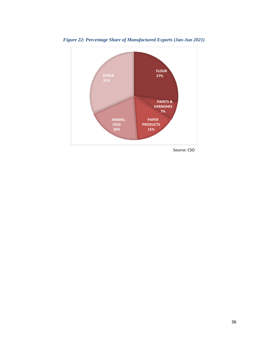

<span id="page-35-0"></span>*Figure 22: Percentage Share of Manufactured Exports (Jan-Jun 2021)*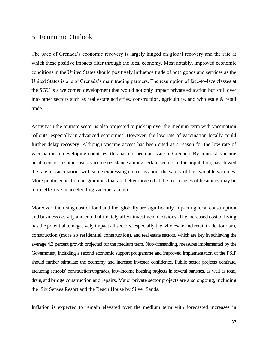# <span id="page-36-0"></span>5. Economic Outlook

The pace of Grenada's economic recovery is largely hinged on global recovery and the rate at which these positive impacts filter through the local economy. Most notably, improved economic conditions in the United States should positively influence trade of both goods and services as the United States is one of Grenada's main trading partners. The resumption of face-to-face classes at the SGU is a welcomed development that would not only impact private education but spill over into other sectors such as real estate activities, construction, agriculture, and wholesale & retail trade.

Activity in the tourism sector is also projected to pick up over the medium term with vaccination rollouts, especially in advanced economies. However, the low rate of vaccination locally could further delay recovery. Although vaccine access has been cited as a reason for the low rate of vaccination in developing countries, this has not been an issue in Grenada. By contrast, vaccine hesitancy, or in some cases, vaccine resistance among certain sectors of the population, has slowed the rate of vaccination, with some expressing concerns about the safety of the available vaccines. More public education programmes that are better targeted at the root causes of hesitancy may be more effective in accelerating vaccine take up.

Moreover, the rising cost of food and fuel globally are significantly impacting local consumption and business activity and could ultimately affect investment decisions. The increased cost of living has the potential to negatively impact all sectors, especially the wholesale and retail trade, tourism, construction (more so residential construction), and real estate sectors, which are key in achieving the average 4.3 percent growth projected for the medium term. Notwithstanding, measures implemented by the Government, including a second economic support programme and improved implementation of the PSIP should further stimulate the economy and increase investor confidence. Public sector projects continue, including schools' construction/upgrades, low-income housing projects in several parishes, as well as road, drain, and bridge construction and repairs. Major private sector projects are also ongoing, including the Six Senses Resort and the Beach House by Silver Sands.

Inflation is expected to remain elevated over the medium term with forecasted increases in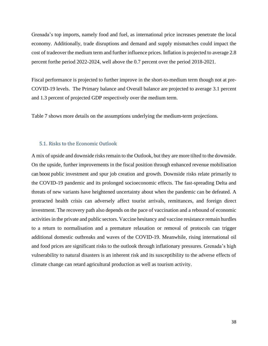Grenada's top imports, namely food and fuel, as international price increases penetrate the local economy. Additionally, trade disruptions and demand and supply mismatches could impact the cost of tradeover the medium term and further influence prices. Inflation is projected to average 2.8 percent forthe period 2022-2024, well above the 0.7 percent over the period 2018-2021.

Fiscal performance is projected to further improve in the short-to-medium term though not at pre-COVID-19 levels. The Primary balance and Overall balance are projected to average 3.1 percent and 1.3 percent of projected GDP respectively over the medium term.

Table 7 shows more details on the assumptions underlying the medium-term projections.

# <span id="page-37-0"></span>5.1. Risks to the Economic Outlook

A mix of upside and downside risks remain to the Outlook, but they are more tilted to the downside. On the upside, further improvements in the fiscal position through enhanced revenue mobilisation can boost public investment and spur job creation and growth. Downside risks relate primarily to the COVID-19 pandemic and its prolonged socioeconomic effects. The fast-spreading Delta and threats of new variants have heightened uncertainty about when the pandemic can be defeated. A protracted health crisis can adversely affect tourist arrivals, remittances, and foreign direct investment. The recovery path also depends on the pace of vaccination and a rebound of economic activities in the private and public sectors. Vaccine hesitancy and vaccine resistance remain hurdles to a return to normalisation and a premature relaxation or removal of protocols can trigger additional domestic outbreaks and waves of the COVID-19. Meanwhile, rising international oil and food prices are significant risks to the outlook through inflationary pressures. Grenada's high vulnerability to natural disasters is an inherent risk and its susceptibility to the adverse effects of climate change can retard agricultural production as well as tourism activity.